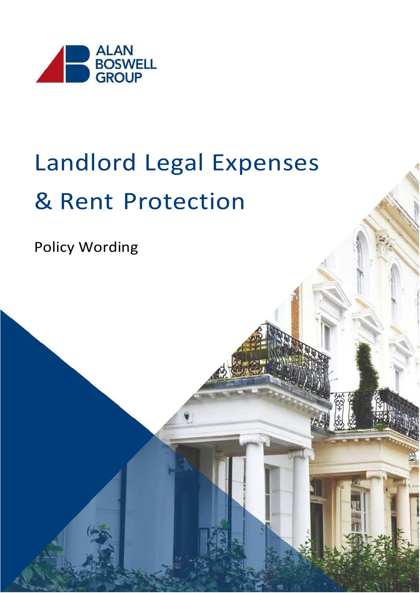

# Landlord Legal Expenses & Rent Protection

Policy Wording

Aviva: Internal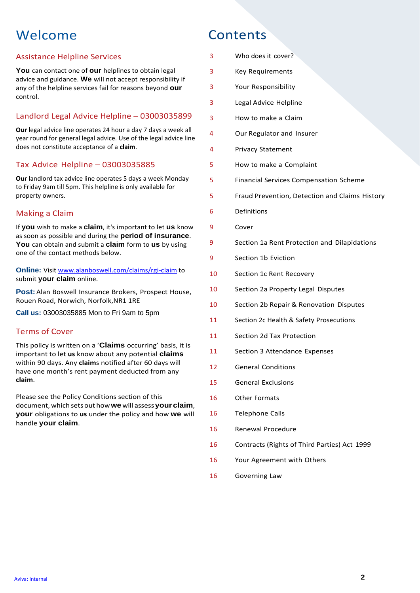### Welcome Contents

#### Assistance Helpline Services

**You** can contact one of **our** helplines to obtain legal advice and guidance. **We** will not accept responsibility if any of the helpline services fail for reasons beyond **our**  control.

#### Landlord Legal Advice Helpline – 03003035899

**Our** legal advice line operates 24 hour a day 7 days a week all year round for general legal advice. Use of the legal advice line does not constitute acceptance of a **claim**.

#### Tax Advice Helpline – 03003035885

**Our** landlord tax advice line operates 5 days a week Monday to Friday 9am till 5pm. This helpline is only available for property owners.

#### Making a Claim

If **you** wish to make a **claim**, it's important to let **us** know as soon as possible and during the **period of insurance**. **You** can obtain and submit a **claim** form to **us** by using one of the contact methods below.

**Online:** Visit [www.alanboswell.com/claims/rgi-claim](http://www.alanboswell.com/claims/rgi-claim) to submit **your claim** online.

**Post:**Alan Boswell Insurance Brokers, Prospect House, Rouen Road, Norwich, Norfolk,NR1 1RE

**Call us:** 03003035885 Mon to Fri 9am to 5pm

#### Terms of Cover

This policy is written on a '**Claims** occurring' basis, it is important to let **us** know about any potential **claims**  within 90 days. Any **claim**s notified after 60 days will have one month's rent payment deducted from any **claim**.

Please see the Policy Conditions section of this document, which setsout how**we** will assess**your claim**, **your** obligations to **us** under the policy and how **we** will handle **your claim**.

| 3  | Who does it cover?                             |
|----|------------------------------------------------|
| 3  | <b>Key Requirements</b>                        |
| 3  | Your Responsibility                            |
| 3  | Legal Advice Helpline                          |
| 3  | How to make a Claim                            |
| 4  | Our Regulator and Insurer                      |
| 4  | <b>Privacy Statement</b>                       |
| 5  | How to make a Complaint                        |
| 5  | <b>Financial Services Compensation Scheme</b>  |
| 5  | Fraud Prevention, Detection and Claims History |
| 6  | Definitions                                    |
| 9  | Cover                                          |
| 9  | Section 1a Rent Protection and Dilapidations   |
| 9  | Section 1b Eviction                            |
| 10 | Section 1c Rent Recovery                       |
| 10 | Section 2a Property Legal Disputes             |
| 10 | Section 2b Repair & Renovation Disputes        |
| 11 | Section 2c Health & Safety Prosecutions        |
| 11 | Section 2d Tax Protection                      |
| 11 | Section 3 Attendance Expenses                  |
| 12 | <b>General Conditions</b>                      |
| 15 | <b>General Exclusions</b>                      |
| 16 | <b>Other Formats</b>                           |
| 16 | <b>Telephone Calls</b>                         |
| 16 | Renewal Procedure                              |
| 16 | Contracts (Rights of Third Parties) Act 1999   |
| 16 | Your Agreement with Others                     |
| 16 | Governing Law                                  |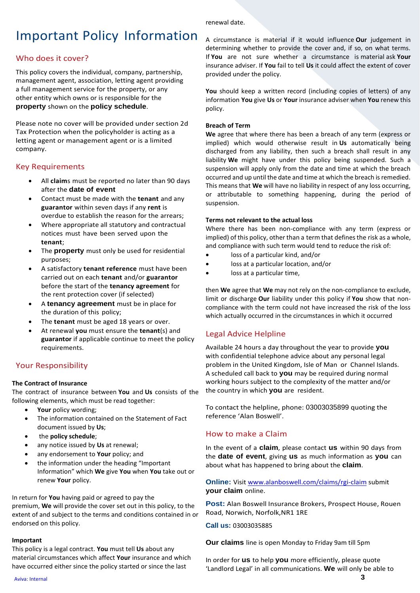#### renewal date.

### Important Policy Information

#### Who does it cover?

This policy covers the individual, company, partnership, management agent, association, letting agent providing a full management service for the property, or any other entity which owns or is responsible for the **property** shown on the **policy schedule**.

Please note no cover will be provided under section 2d Tax Protection when the policyholder is acting as a letting agent or management agent or is a limited company.

#### Key Requirements

- All **claim**s must be reported no later than 90 days after the **date of event**
- Contact must be made with the **tenant** and any **guarantor** within seven days if any **rent** is overdue to establish the reason for the arrears;
- Where appropriate all statutory and contractual notices must have been served upon the **tenant**;
- The **property** must only be used for residential purposes;
- A satisfactory **tenant reference** must have been carried out on each **tenant** and/or **guarantor** before the start of the **tenancy agreement** for the rent protection cover (if selected)
- A **tenancy agreement** must be in place for the duration of this policy;
- The **tenant** must be aged 18 years or over.
- At renewal **you** must ensure the **tenant**(s) and **guarantor** if applicable continue to meet the policy requirements.

#### Your Responsibility

#### **The Contract of Insurance**

The contract of insurance between **You** and **Us** consists of the following elements, which must be read together:

- **Your** policy wording;
- The information contained on the Statement of Fact document issued by **Us**;
- the **policy schedule**;
- any notice issued by **Us** at renewal;
- any endorsement to **Your** policy; and
- the information under the heading "Important Information" which **We** give **You** when **You** take out or renew **Your** policy.

In return for **You** having paid or agreed to pay the premium, **We** will provide the cover set out in this policy, to the extent of and subject to the terms and conditions contained in or endorsed on this policy.

#### **Important**

This policy is a legal contract. **You** must tell **Us** about any material circumstances which affect **Your** insurance and which have occurred either since the policy started or since the last

A circumstance is material if it would influence **Our** judgement in determining whether to provide the cover and, if so, on what terms. If **You** are not sure whether a circumstance is material ask **Your** insurance adviser. If **You** fail to tell **Us** it could affect the extent of cover provided under the policy.

**You** should keep a written record (including copies of letters) of any information **You** give **Us** or **Your** insurance adviser when **You** renew this policy.

#### **Breach of Term**

**We** agree that where there has been a breach of any term (express or implied) which would otherwise result in **Us** automatically being discharged from any liability, then such a breach shall result in any liability **We** might have under this policy being suspended. Such a suspension will apply only from the date and time at which the breach occurred and up until the date and time at which the breach is remedied. This means that **We** will have no liability in respect of any loss occurring, or attributable to something happening, during the period of suspension.

#### **Terms not relevant to the actual loss**

Where there has been non-compliance with any term (express or implied) of this policy, other than a term that defines the risk as a whole, and compliance with such term would tend to reduce the risk of:

- loss of a particular kind, and/or
- loss at a particular location, and/or
- loss at a particular time,

then **We** agree that **We** may not rely on the non-compliance to exclude, limit or discharge **Our** liability under this policy if **You** show that noncompliance with the term could not have increased the risk of the loss which actually occurred in the circumstances in which it occurred

#### Legal Advice Helpline

Available 24 hours a day throughout the year to provide **you**  with confidential telephone advice about any personal legal problem in the United Kingdom, Isle of Man or Channel Islands. A scheduled call back to **you** may be required during normal working hours subject to the complexity of the matter and/or the country in which **you** are resident.

To contact the helpline, phone: 03003035899 quoting the reference 'Alan Boswell'.

#### How to make a Claim

In the event of a **claim**, please contact **us** within 90 days from the **date of event**, giving **us** as much information as **you** can about what has happened to bring about the **claim**.

**Online:** Visi[t www.alanboswell.com/claims/rgi-claim](http://www.alanboswell.com/claims/rgi-claim) submit **your claim** online.

**Post:** Alan Boswell Insurance Brokers, Prospect House, Rouen Road, Norwich, Norfolk,NR1 1RE

**Call us:** 03003035885

**Our claims** line is open Monday to Friday 9am till 5pm

In order for **us** to help **you** more efficiently, please quote 'Landlord Legal' in all communications. **We** will only be able to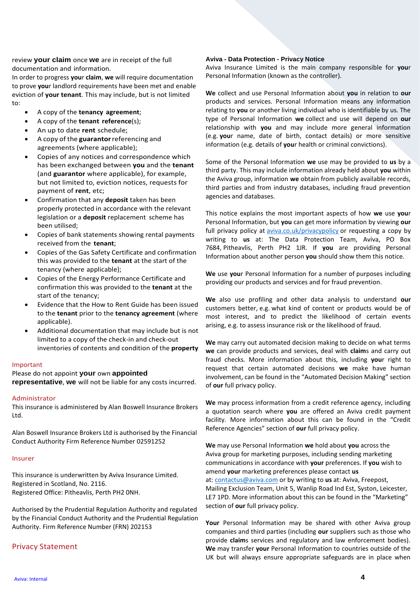review **your claim** once **we** are in receipt of the full documentation and information.

In order to progress **you**r **claim**, **we** will require documentation to prove **you**r landlord requirements have been met and enable eviction of **your tenant**. This may include, but is not limited to:

- A copy of the **tenancy agreement**;
- A copy of the **tenant reference**(s);
- An up to date **rent** schedule;
- A copy of the **guarantor**referencing and agreements (where applicable);
- Copies of any notices and correspondence which has been exchanged between **you** and the **tenant**  (and **guarantor** where applicable), for example, but not limited to, eviction notices, requests for payment of **rent**, etc;
- Confirmation that any **deposit** taken has been properly protected in accordance with the relevant legislation or a **deposit** replacement scheme has been utilised;
- Copies of bank statements showing rental payments received from the **tenant**;
- Copies of the Gas Safety Certificate and confirmation this was provided to the **tenant** at the start of the tenancy (where applicable);
- Copies of the Energy Performance Certificate and confirmation this was provided to the **tenant** at the start of the tenancy;
- Evidence that the How to Rent Guide has been issued to the **tenant** prior to the **tenancy agreement** (where applicable).
- Additional documentation that may include but is not limited to a copy of the check-in and check-out inventories of contents and condition of the **property**

#### Important

Please do not appoint **your** own **appointed** 

**representative**, **we** will not be liable for any costs incurred.

#### Administrator

This insurance is administered by Alan Boswell Insurance Brokers Ltd.

Alan Boswell Insurance Brokers Ltd is authorised by the Financial Conduct Authority Firm Reference Number 02591252

#### Insurer

This insurance is underwritten by Aviva Insurance Limited. Registered in Scotland, No. 2116. Registered Office: Pitheavlis, Perth PH2 0NH.

Authorised by the Prudential Regulation Authority and regulated by the Financial Conduct Authority and the Prudential Regulation Authority. Firm Reference Number (FRN) 202153

#### Privacy Statement

#### **Aviva - Data Protection - Privacy Notice**

Aviva Insurance Limited is the main company responsible for **you**r Personal Information (known as the controller).

**We** collect and use Personal Information about **you** in relation to **our**  products and services. Personal Information means any information relating to **you** or another living individual who is identifiable by us. The type of Personal Information **we** collect and use will depend on **our**  relationship with **you** and may include more general information (e.g. **you**r name, date of birth, contact details) or more sensitive information (e.g. details of **you**r health or criminal convictions).

Some of the Personal Information **we** use may be provided to **us** by a third party. This may include information already held about **you** within the Aviva group, information **we** obtain from publicly available records, third parties and from industry databases, including fraud prevention agencies and databases.

This notice explains the most important aspects of how **we** use **you**r Personal Information, but **you** can get more information by viewing **our**  full privacy policy at [aviva.co.uk/privacypolicy](http://www.aviva.co.uk/privacypolicy) or requesting a copy by writing to **us** at: The Data Protection Team, Aviva, PO Box 7684, Pitheavlis, Perth PH2 1JR. If **you** are providing Personal Information about another person **you** should show them this notice.

**We** use **you**r Personal Information for a number of purposes including providing our products and services and for fraud prevention.

**We** also use profiling and other data analysis to understand **our**  customers better, e.g. what kind of content or products would be of most interest, and to predict the likelihood of certain events arising, e.g. to assess insurance risk or the likelihood of fraud.

**We** may carry out automated decision making to decide on what terms **we** can provide products and services, deal with **claim**s and carry out fraud checks. More information about this, including **you**r right to request that certain automated decisions **we** make have human involvement, can be found in the "Automated Decision Making" section of **our** full privacy policy.

**We** may process information from a credit reference agency, including a quotation search where **you** are offered an Aviva credit payment facility. More information about this can be found in the "Credit Reference Agencies" section of **our** full privacy policy.

**We** may use Personal Information **we** hold about **you** across the Aviva group for marketing purposes, including sending marketing communications in accordance with **your** preferences. If **you** wish to amend **your** marketing preferences please contact **us** at: [contactus@aviva.com](mailto:contactus@aviva.com) or by writing to **us** at: Aviva, Freepost, Mailing Exclusion Team, Unit 5, Wanlip Road Ind Est, Syston, Leicester, LE7 1PD. More information about this can be found in the "Marketing" section of **our** full privacy policy.

**Your** Personal Information may be shared with other Aviva group companies and third parties (including **our** suppliers such as those who provide **claim**s services and regulatory and law enforcement bodies). **We** may transfer **your** Personal Information to countries outside of the UK but will always ensure appropriate safeguards are in place when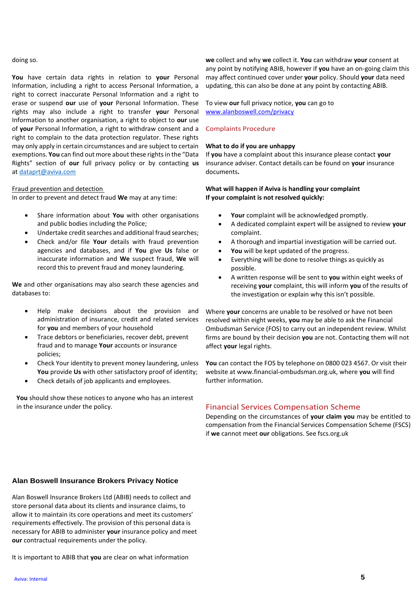#### doing so.

**You** have certain data rights in relation to **your** Personal Information, including a right to access Personal Information, a right to correct inaccurate Personal Information and a right to erase or suspend **our** use of **your** Personal Information. These rights may also include a right to transfer **you**r Personal Information to another organisation, a right to object to **our** use of **your** Personal Information, a right to withdraw consent and a right to complain to the data protection regulator. These rights may only apply in certain circumstances and are subject to certain exemptions. **You** can find out more about these rights in the "Data Rights" section of **our** full privacy policy or by contacting **us** at [dataprt@aviva.com](mailto:dataprt@aviva.com)

#### Fraud prevention and detection

In order to prevent and detect fraud **We** may at any time:

- Share information about **You** with other organisations and public bodies including the Police;
- Undertake credit searches and additional fraud searches;
- Check and/or file **Your** details with fraud prevention agencies and databases, and if **You** give **Us** false or inaccurate information and **We** suspect fraud, **We** will record this to prevent fraud and money laundering.

**We** and other organisations may also search these agencies and databases to:

- Help make decisions about the provision and administration of insurance, credit and related services for **you** and members of your household
- Trace debtors or beneficiaries, recover debt, prevent fraud and to manage **Your** accounts or insurance policies;
- Check Your identity to prevent money laundering, unless **You** provide **Us** with other satisfactory proof of identity;
- Check details of job applicants and employees.

**You** should show these notices to anyone who has an interest in the insurance under the policy.

**we** collect and why **we** collect it. **You** can withdraw **your** consent at any point by notifying ABIB, however if **you** have an on-going claim this may affect continued cover under **your** policy. Should **your** data need updating, this can also be done at any point by contacting ABIB.

To view **our** full privacy notice, **you** can go to [www.alanboswell.com/privacy](http://www.alanboswell.com/privacy)

#### Complaints Procedure

#### **What to do if you are unhappy**

If **you** have a complaint about this insurance please contact **your** insurance adviser. Contact details can be found on **your** insurance documents**.** 

#### **What will happen if Aviva is handling your complaint If your complaint is not resolved quickly:**

- Your complaint will be acknowledged promptly.
- A dedicated complaint expert will be assigned to review **your** complaint.
- A thorough and impartial investigation will be carried out.
- **You** will be kept updated of the progress.
- Everything will be done to resolve things as quickly as possible.
- A written response will be sent to **you** within eight weeks of receiving **your** complaint, this will inform **you** of the results of the investigation or explain why this isn't possible.

Where **your** concerns are unable to be resolved or have not been resolved within eight weeks, **you** may be able to ask the Financial Ombudsman Service (FOS) to carry out an independent review. Whilst firms are bound by their decision **you** are not. Contacting them will not affect **your** legal rights.

**You** can contact the FOS by telephone on 0800 023 4567. Or visit their website at www.financial-ombudsman.org.uk, where **you** will find further information.

#### Financial Services Compensation Scheme

Depending on the circumstances of **your claim you** may be entitled to compensation from the Financial Services Compensation Scheme (FSCS) if **we** cannot meet **our** obligations. See fscs.org.uk

#### **Alan Boswell Insurance Brokers Privacy Notice**

Alan Boswell Insurance Brokers Ltd (ABIB) needs to collect and store personal data about its clients and insurance claims, to allow it to maintain its core operations and meet its customers' requirements effectively. The provision of this personal data is necessary for ABIB to administer **your** insurance policy and meet **our** contractual requirements under the policy.

It is important to ABIB that **you** are clear on what information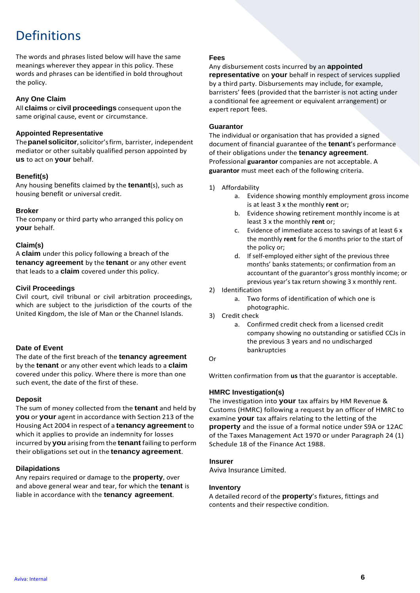### Definitions

The words and phrases listed below will have the same meanings wherever they appear in this policy. These words and phrases can be identified in bold throughout the policy.

#### **Any One Claim**

All **claims** or **civil proceedings** consequent upon the same original cause, event or circumstance.

#### **Appointed Representative**

The**panelsolicitor**,solicitor'sfirm, barrister, independent mediator or other suitably qualified person appointed by **us** to act on **your** behalf.

#### **Benefit(s)**

Any housing benefits claimed by the **tenant**(s), such as housing benefit or universal credit.

#### **Broker**

The company or third party who arranged this policy on **your** behalf.

#### **Claim(s)**

A **claim** under this policy following a breach of the **tenancy agreement** by the **tenant** or any other event that leads to a **claim** covered under this policy.

#### **Civil Proceedings**

Civil court, civil tribunal or civil arbitration proceedings, which are subject to the jurisdiction of the courts of the United Kingdom, the Isle of Man or the Channel Islands.

#### **Date of Event**

The date of the first breach of the **tenancy agreement**  by the **tenant** or any other event which leads to a **claim**  covered under this policy. Where there is more than one such event, the date of the first of these.

#### **Deposit**

The sum of money collected from the **tenant** and held by **you** or **your** agent in accordance with Section 213 of the Housing Act 2004 in respect of a **tenancy agreement** to which it applies to provide an indemnity for losses incurred by **you** arising from the **tenant** failing to perform their obligations set out in the **tenancy agreement**.

#### **Dilapidations**

Any repairs required or damage to the **property**, over and above general wear and tear, for which the **tenant** is liable in accordance with the **tenancy agreement**.

#### **Fees**

Any disbursement costs incurred by an **appointed** 

**representative** on **your** behalf in respect of services supplied by a third party. Disbursements may include, for example, barristers' fees (provided that the barrister is not acting under a conditional fee agreement or equivalent arrangement) or expert report fees.

#### **Guarantor**

The individual or organisation that has provided a signed document of financial guarantee of the **tenant**'s performance of their obligations under the **tenancy agreement**. Professional **guarantor** companies are not acceptable. A **guarantor** must meet each of the following criteria.

#### 1) Affordability

- a. Evidence showing monthly employment gross income is at least 3 x the monthly **rent** or;
- b. Evidence showing retirement monthly income is at least 3 x the monthly **rent** or;
- c. Evidence of immediate access to savings of at least 6 x the monthly **rent** for the 6 months prior to the start of the policy or;
- d. If self-employed either sight of the previous three months' banks statements; or confirmation from an accountant of the guarantor's gross monthly income; or previous year's tax return showing 3 x monthly rent.
- 2) Identification
	- a. Two forms of identification of which one is photographic.
- 3) Credit check
	- a. Confirmed credit check from a licensed credit company showing no outstanding or satisfied CCJs in the previous 3 years and no undischarged bankruptcies

Or

Written confirmation from **us** that the guarantor is acceptable.

#### **HMRC Investigation(s)**

The investigation into **your** tax affairs by HM Revenue & Customs (HMRC) following a request by an officer of HMRC to examine **your** tax affairs relating to the letting of the **property** and the issue of a formal notice under S9A or 12AC of the Taxes Management Act 1970 or under Paragraph 24 (1) Schedule 18 of the Finance Act 1988.

#### **Insurer**

Aviva Insurance Limited.

#### **Inventory**

A detailed record of the **property**'s fixtures, fittings and contents and their respective condition.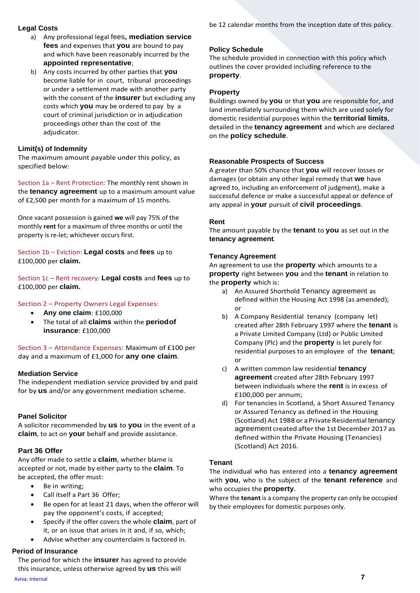#### **Legal Costs**

- a) Any professional legal fees**, mediation service fees** and expenses that **you** are bound to pay and which have been reasonably incurred by the **appointed representative**;
- b) Any costs incurred by other parties that **you**  become liable for in court, tribunal proceedings or under a settlement made with another party with the consent of the **insurer** but excluding any costs which **you** may be ordered to pay by a court of criminal jurisdiction or in adjudication proceedings other than the cost of the adjudicator.

#### **Limit(s) of Indemnity**

The maximum amount payable under this policy, as specified below:

Section 1a – Rent Protection: The monthly rent shown in the **tenancy agreement** up to a maximum amount value of £2,500 per month for a maximum of 15 months.

Once vacant possession is gained **we** will pay 75% of the monthly **rent** for a maximum of three months or until the property is re-let; whichever occurs first.

Section 1b – Eviction: **Legal costs** and **fees** up to £100,000 per **claim.**

Section 1c – Rent recovery: **Legal costs** and **fees** up to £100,000 per **claim.**

#### Section 2 – Property Owners Legal Expenses:

- **Any one claim**: £100,000
- The total of all **claims** within the **periodof insurance**: £100,000

Section 3 – Attendance Expenses: Maximum of £100 per day and a maximum of £1,000 for **any one claim**.

#### **Mediation Service**

The independent mediation service provided by and paid for by **us** and/or any government mediation scheme.

#### **Panel Solicitor**

A solicitor recommended by **us** to **you** in the event of a **claim**, to act on **your** behalf and provide assistance.

#### **Part 36 Offer**

Any offer made to settle a **claim**, whether blame is accepted or not, made by either party to the **claim**. To be accepted, the offer must:

- Be in writing;
- Call itself a Part 36 Offer;
- Be open for at least 21 days, when the offeror will pay the opponent's costs, if accepted;
- Specify if the offer covers the whole **claim**, part of it, or an issue that arises in it and, if so, which;
- Advise whether any counterclaim is factored in.

#### **Period of Insurance**

The period for which the **insurer** has agreed to provide this insurance, unless otherwise agreed by **us** this will

be 12 calendar months from the inception date of this policy.

#### **Policy Schedule**

The schedule provided in connection with this policy which outlines the cover provided including reference to the **property**.

#### **Property**

Buildings owned by **you** or that **you** are responsible for, and land immediately surrounding them which are used solely for domestic residential purposes within the **territorial limits**, detailed in the **tenancy agreement** and which are declared on the **policy schedule**.

#### **Reasonable Prospects of Success**

A greater than 50% chance that **you** will recover losses or damages (or obtain any other legal remedy that **we** have agreed to, including an enforcement of judgment), make a successful defence or make a successful appeal or defence of any appeal in **your** pursuit of **civil proceedings**.

#### **Rent**

The amount payable by the **tenant** to **you** as set out in the **tenancy agreement**.

#### **Tenancy Agreement**

An agreement to use the **property** which amounts to a **property** right between **you** and the **tenant** in relation to the **property** which is:

- a) An Assured Shorthold Tenancy agreement as defined within the Housing Act 1998 (as amended); or
- b) A Company Residential tenancy (company let) created after 28th February 1997 where the **tenant** is a Private Limited Company (Ltd) or Public Limited Company (Plc) and the **property** is let purely for residential purposes to an employee of the **tenant**; or
- c) A written common law residential **tenancy agreement** created after 28th February 1997 between individuals where the **rent** is in excess of £100,000 per annum;
- d) For tenancies in Scotland, a Short Assured Tenancy or Assured Tenancy as defined in the Housing (Scotland) Act 1988 or a Private Residential tenancy agreement created afterthe 1st December 2017 as defined within the Private Housing (Tenancies) (Scotland) Act 2016.

#### **Tenant**

The individual who has entered into a **tenancy agreement**  with **you**, who is the subject of the **tenant reference** and who occupies the **property**.

Where the **tenant** is a company the property can only be occupied by their employees for domestic purposes only.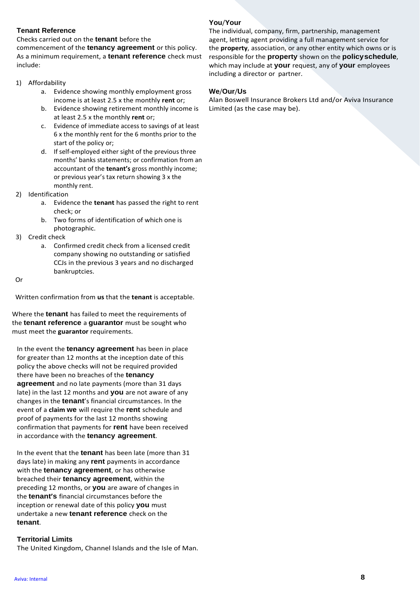#### **Tenant Reference**

Checks carried out on the **tenant** before the

commencement of the **tenancy agreement** or this policy. As a minimum requirement, a **tenant reference** check must include:

#### 1) Affordability

- a. Evidence showing monthly employment gross income is at least 2.5 x the monthly **rent** or;
- b. Evidence showing retirement monthly income is at least 2.5 x the monthly **rent** or;
- c. Evidence of immediate access to savings of at least 6 x the monthly rent for the 6 months prior to the start of the policy or;
- d. If self-employed either sight of the previous three months' banks statements; or confirmation from an accountant of the **tenant's** gross monthly income; or previous year's tax return showing 3 x the monthly rent.
- 2) Identification
	- a. Evidence the **tenant** has passed the right to rent check; or
	- b. Two forms of identification of which one is photographic.
- 3) Credit check
	- a. Confirmed credit check from a licensed credit company showing no outstanding or satisfied CCJs in the previous 3 years and no discharged bankruptcies.

Or

Written confirmation from **us** that the **tenant** is acceptable.

Where the **tenant** has failed to meet the requirements of the **tenant reference** a **guarantor** must be sought who must meet the **guarantor** requirements.

In the event the **tenancy agreement** has been in place for greater than 12 months at the inception date of this policy the above checks will not be required provided there have been no breaches of the **tenancy agreement** and no late payments (more than 31 days late) in the last 12 months and **you** are not aware of any changes in the **tenant**'s financial circumstances. In the event of a **claim we** will require the **rent** schedule and proof of payments for the last 12 months showing confirmation that payments for **rent** have been received in accordance with the **tenancy agreement**.

In the event that the **tenant** has been late (more than 31 days late) in making any **rent** payments in accordance with the **tenancy agreement**, or has otherwise breached their **tenancy agreement**, within the preceding 12 months, or **you** are aware of changes in the **tenant's** financial circumstances before the inception or renewal date of this policy **you** must undertake a new **tenant reference** check on the **tenant**.

#### **Territorial Limits**

The United Kingdom, Channel Islands and the Isle of Man.

#### **You**/**Your**

The individual, company, firm, partnership, management agent, letting agent providing a full management service for the **property**, association, or any other entity which owns or is responsible for the **property** shown on the **policyschedule**, which may include at **your** request, any of **your** employees including a director or partner.

#### **We**/**Our**/**Us**

Alan Boswell Insurance Brokers Ltd and/or Aviva Insurance Limited (as the case may be).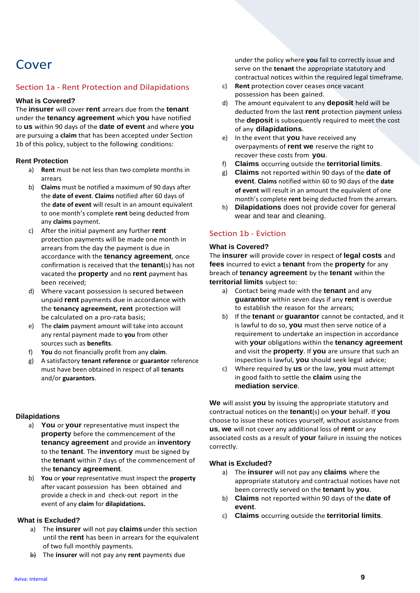### Cover

#### Section 1a - Rent Protection and Dilapidations

#### **What is Covered?**

The **insurer** will cover **rent** arrears due from the **tenant**  under the **tenancy agreement** which **you** have notified to **us** within 90 days of the **date of event** and where **you**  are pursuing a **claim** that has been accepted under Section 1b of this policy, subject to the following conditions:

#### **Rent Protection**

- a) **Rent** must be not less than two complete months in arrears
- b) **Claims** must be notified a maximum of 90 days after the **date of event**. **Claims** notified after 60 days of the **date of event** will result in an amount equivalent to one month's complete **rent** being deducted from any **claims** payment.
- c) After the initial payment any further **rent**  protection payments will be made one month in arrears from the day the payment is due in accordance with the **tenancy agreement**, once confirmation is received that the **tenant**(s) has not vacated the **property** and no **rent** payment has been received;
- d) Where vacant possession is secured between unpaid **rent** payments due in accordance with the **tenancy agreement, rent** protection will be calculated on a pro-rata basis;
- e) The **claim** payment amount will take into account any rental payment made to **you** from other sources such as **benefits**.
- f) **You** do not financially profit from any **claim**.
- g) A satisfactory **tenant reference** or **guarantor** reference must have been obtained in respect of all **tenants** and/or **guarantors**.

#### **Dilapidations**

- a) **You** or **your** representative must inspect the **property** before the commencement of the **tenancy agreement** and provide an **inventory**  to the **tenant**. The **inventory** must be signed by the **tenant** within 7 days of the commencement of the **tenancy agreement**.
- b) **You** or **your** representative must inspect the **property** after vacant possession has been obtained and provide a check in and check-out report in the event of any **claim** for **dilapidations.**

#### **What is Excluded?**

- a) The **insurer** will not pay **claims**under this section until the **rent** has been in arrears for the equivalent of two full monthly payments.
- b) The **insurer** will not pay any **rent** payments due

under the policy where **you** fail to correctly issue and serve on the **tenant** the appropriate statutory and contractual notices within the required legal timeframe.

- c) **Rent** protection cover ceases once vacant possession has been gained.
- d) The amount equivalent to any **deposit** held will be deducted from the last **rent** protection payment unless the **deposit** is subsequently required to meet the cost of any **dilapidations**.
- e) In the event that **you** have received any overpayments of **rent we** reserve the right to recover these costs from **you**.
- f) **Claims** occurring outside the **territorial limits**.
- g) **Claims** not reported within 90 days of the **date of event**. **Claims** notified within 60 to 90 days of the **date of event** will result in an amount the equivalent of one month's complete **rent** being deducted from the arrears.
- h) **Dilapidations** does not provide cover for general wear and tear and cleaning.

#### Section 1b - Eviction

#### **What is Covered?**

The **insurer** will provide cover in respect of **legal costs** and **fees** incurred to evict a **tenant** from the **property** for any breach of **tenancy agreement** by the **tenant** within the **territorial limits** subject to:

- a) Contact being made with the **tenant** and any **guarantor** within seven days if any **rent** is overdue to establish the reason for the arrears;
- b) If the **tenant** or **guarantor** cannot be contacted, and it is lawful to do so, **you** must then serve notice of a requirement to undertake an inspection in accordance with **your** obligations within the **tenancy agreement**  and visit the **property**. If **you** are unsure that such an inspection is lawful, **you** should seek legal advice;
- c) Where required by **us** or the law, **you** must attempt in good faith to settle the **claim** using the **mediation service**.

**We** will assist **you** by issuing the appropriate statutory and contractual notices on the **tenant**(s) on **your** behalf. If **you**  choose to issue these notices yourself, without assistance from **us**, **we** will not cover any additional loss of **rent** or any associated costs as a result of **your** failure in issuing the notices correctly.

#### **What is Excluded?**

- a) The **insurer** will not pay any **claims** where the appropriate statutory and contractual notices have not been correctly served on the **tenant** by **you**.
- b) **Claims** not reported within 90 days of the **date of event**.
- c) **Claims** occurring outside the **territorial limits**.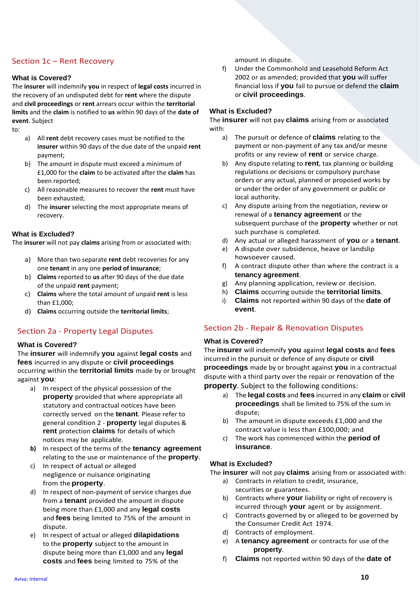#### Section 1c – Rent Recovery

#### **What is Covered?**

The **insurer** will indemnify **you** in respect of **legal costs** incurred in the recovery of an undisputed debt for **rent** where the dispute and **civil proceedings** or **rent** arrears occur within the **territorial limits** and the **claim** is notified to **us** within 90 days of the **date of event**. Subject

to:

- a) All **rent** debt recovery cases must be notified to the **insurer** within 90 days of the due date of the unpaid **rent** payment;
- b) The amount in dispute must exceed a minimum of £1,000 for the **claim** to be activated after the **claim** has been reported;
- c) All reasonable measures to recover the **rent** must have been exhausted;
- d) The **insurer** selecting the most appropriate means of recovery.

#### **What is Excluded?**

The **insurer** will not pay **claims** arising from or associated with:

- a) More than two separate **rent** debt recoveries for any one **tenant** in any one **period of insurance**;
- b) **Claims** reported to **us** after 90 days of the due date of the unpaid **rent** payment;
- c) **Claims** where the total amount of unpaid **rent** is less than £1,000;
- d) **Claims** occurring outside the **territorial limits**;

#### Section 2a - Property Legal Disputes

#### **What is Covered?**

The **insurer** will indemnify **you** against **legal costs** and **fees** incurred in any dispute or **civil proceedings**  occurring within the **territorial limits** made by or brought against **you**:

- a) In respect of the physical possession of the **property** provided that where appropriate all statutory and contractual notices have been correctly served on the **tenant**. Please refer to general condition 2 - **property** legal disputes & **rent** protection **claims** for details of which notices may be applicable.
- **b)** In respect of the terms of the **tenancy agreement** relating to the use or maintenance of the **property**.
- c) In respect of actual or alleged negligence or nuisance originating from the **property**.
- d) In respect of non-payment of service charges due from a **tenant** provided the amount in dispute being more than £1,000 and any **legal costs**  and **fees** being limited to 75% of the amount in dispute.
- e) In respect of actual or alleged **dilapidations**  to the **property** subject to the amount in dispute being more than £1,000 and any **legal costs** and **fees** being limited to 75% of the

amount in dispute.

f) Under the Commonhold and Leasehold Reform Act 2002 or as amended; provided that **you** will suffer financial loss if **you** fail to pursue or defend the **claim**  or **civil proceedings**.

#### **What is Excluded?**

The **insurer** will not pay **claims** arising from or associated with:

- a) The pursuit or defence of **claims** relating to the payment or non-payment of any tax and/or mesne profits or any review of **rent** or service charge.
- b) Any dispute relating to **rent**, tax planning or building regulations or decisions or compulsory purchase orders or any actual, planned or proposed works by or under the order of any government or public or local authority.
- c) Any dispute arising from the negotiation, review or renewal of a **tenancy agreement** or the subsequent purchase of the **property** whether or not such purchase is completed.
- d) Any actual or alleged harassment of **you** or a **tenant**.
- e) A dispute over subsidence, heave or landslip howsoever caused.
- f) A contract dispute other than where the contract is a **tenancy agreement**.
- g) Any planning application, review or decision.
- h) **Claims** occurring outside the **territorial limits**.
- i) **Claims** not reported within 90 days of the **date of event**.

#### Section 2b - Repair & Renovation Disputes

#### **What is Covered?**

The **insurer** will indemnify **you** against **legal costs a**nd **fees**  incurred in the pursuit or defence of any dispute or **civil proceedings** made by or brought against **you** in a contractual dispute with a third party over the repair or renovation of the **property**. Subject to the following conditions:

- a) The **legal costs** and **fees** incurred in any **claim** or **civil proceedings** shall be limited to 75% of the sum in dispute;
- b) The amount in dispute exceeds £1,000 and the contract value is less than £100,000; and
- c) The work has commenced within the **period of insurance**.

#### **What is Excluded?**

The **insurer** will not pay **claims** arising from or associated with:

- a) Contracts in relation to credit, insurance, securities or guarantees.
- b) Contracts where **your** liability or right of recovery is incurred through **your** agent or by assignment.
- c) Contracts governed by or alleged to be governed by the Consumer Credit Act 1974.
- d) Contracts of employment.
- e) A **tenancy agreement** or contracts for use of the **property**.
- f) **Claims** not reported within 90 days of the **date of**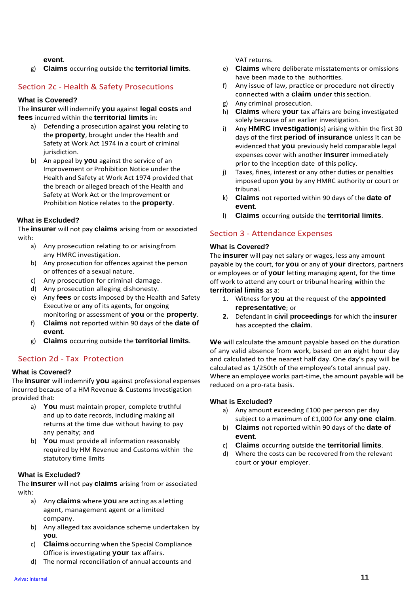#### **event**.

g) **Claims** occurring outside the **territorial limits**.

#### Section 2c - Health & Safety Prosecutions

#### **What is Covered?**

The **insurer** will indemnify **you** against **legal costs** and **fees** incurred within the **territorial limits** in:

- a) Defending a prosecution against **you** relating to the **property**, brought under the Health and Safety at Work Act 1974 in a court of criminal jurisdiction.
- b) An appeal by **you** against the service of an Improvement or Prohibition Notice under the Health and Safety at Work Act 1974 provided that the breach or alleged breach of the Health and Safety at Work Act or the Improvement or Prohibition Notice relates to the **property**.

#### **What is Excluded?**

The **insurer** will not pay **claims** arising from or associated with:

- a) Any prosecution relating to or arisingfrom any HMRC investigation.
- b) Any prosecution for offences against the person or offences of a sexual nature.
- c) Any prosecution for criminal damage.
- d) Any prosecution alleging dishonesty.
- e) Any **fees** or costs imposed by the Health and Safety Executive or any of its agents, for ongoing monitoring or assessment of **you** or the **property**.
- f) **Claims** not reported within 90 days of the **date of event**.
- g) **Claims** occurring outside the **territorial limits**.

#### Section 2d - Tax Protection

#### **What is Covered?**

The **insurer** will indemnify **you** against professional expenses incurred because of a HM Revenue & Customs Investigation provided that:

- a) **You** must maintain proper, complete truthful and up to date records, including making all returns at the time due without having to pay any penalty; and
- b) **You** must provide all information reasonably required by HM Revenue and Customs within the statutory time limits

#### **What is Excluded?**

The **insurer** will not pay **claims** arising from or associated with:

- a) Any **claims** where **you** are acting as a letting agent, management agent or a limited company.
- b) Any alleged tax avoidance scheme undertaken by **you**.
- c) **Claims** occurring when the Special Compliance Office is investigating **your** tax affairs.
- d) The normal reconciliation of annual accounts and

VAT returns.

- e) **Claims** where deliberate misstatements or omissions have been made to the authorities.
- f) Any issue of law, practice or procedure not directly connected with a **claim** under thissection.
- g) Any criminal prosecution.
- h) **Claims** where **your** tax affairs are being investigated solely because of an earlier investigation.
- i) Any **HMRC investigation**(s) arising within the first 30 days of the first **period of insurance** unless it can be evidenced that **you** previously held comparable legal expenses cover with another **insurer** immediately prior to the inception date of this policy.
- j) Taxes, fines, interest or any other duties or penalties imposed upon **you** by any HMRC authority or court or tribunal.
- k) **Claims** not reported within 90 days of the **date of event**.
- l) **Claims** occurring outside the **territorial limits**.

#### Section 3 - Attendance Expenses

#### **What is Covered?**

The **insurer** will pay net salary or wages, less any amount payable by the court, for **you** or any of **your** directors, partners or employees or of **your** letting managing agent, for the time off work to attend any court or tribunal hearing within the **territorial limits** as a:

- 1. Witness for **you** at the request of the **appointed representative**; or
- **2.** Defendant in **civil proceedings** for which the **insurer** has accepted the **claim**.

**We** will calculate the amount payable based on the duration of any valid absence from work, based on an eight hour day and calculated to the nearest half day. One day's pay will be calculated as 1/250th of the employee's total annual pay. Where an employee works part-time, the amount payable will be reduced on a pro-rata basis.

#### **What is Excluded?**

- a) Any amount exceeding £100 per person per day subject to a maximum of £1,000 for **any one claim**.
- b) **Claims** not reported within 90 days of the **date of event**.
- c) **Claims** occurring outside the **territorial limits**.
- d) Where the costs can be recovered from the relevant court or **your** employer.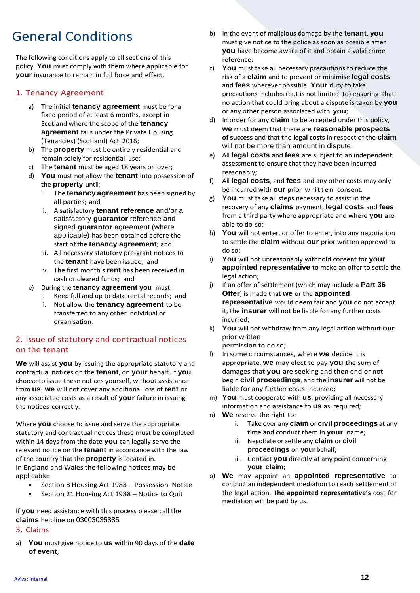### General Conditions

The following conditions apply to all sections of this policy. **You** must comply with them where applicable for **your** insurance to remain in full force and effect.

### 1. Tenancy Agreement

- a) The initial **tenancy agreement** must be for a fixed period of at least 6 months, except in Scotland where the scope of the **tenancy agreement** falls under the Private Housing (Tenancies) (Scotland) Act 2016;
- b) The **property** must be entirely residential and remain solely for residential use;
- c) The **tenant** must be aged 18 years or over;
- d) **You** must not allow the **tenant** into possession of the **property** until;
	- i. The **tenancy agreement** has been signed by all parties; and
	- ii. A satisfactory **tenant reference** and/or a satisfactory **guarantor** reference and signed **guarantor** agreement (where applicable) has been obtained before the start of the **tenancy agreement**; and
	- iii. All necessary statutory pre-grant notices to the **tenant** have been issued; and
	- iv. The first month's **rent** has been received in cash or cleared funds; and
- e) During the **tenancy agreement you** must:
	- i. Keep full and up to date rental records; and
	- ii. Not allow the **tenancy agreement** to be transferred to any other individual or organisation.

#### 2. Issue of statutory and contractual notices on the tenant

**We** will assist **you** by issuing the appropriate statutory and contractual notices on the **tenant**, on **your** behalf. If **you**  choose to issue these notices yourself, without assistance from **us**, **we** will not cover any additional loss of **rent** or any associated costs as a result of **your** failure in issuing the notices correctly.

Where **you** choose to issue and serve the appropriate statutory and contractual notices these must be completed within 14 days from the date **you** can legally serve the relevant notice on the **tenant** in accordance with the law of the country that the **property** is located in. In England and Wales the following notices may be applicable:

- Section 8 Housing Act 1988 Possession Notice
- Section 21 Housing Act 1988 Notice to Quit

If **you** need assistance with this process please call the **claims** helpline on 03003035885

#### 3. Claims

a) **You** must give notice to **us** within 90 days of the **date of event**;

- b) In the event of malicious damage by the **tenant**, **you**  must give notice to the police as soon as possible after **you** have become aware of it and obtain a valid crime reference;
- c) **You** must take all necessary precautions to reduce the risk of a **claim** and to prevent or minimise **legal costs**  and **fees** wherever possible. **Your** duty to take precautions includes (but is not limited to) ensuring that no action that could bring about a dispute is taken by **you**  or any other person associated with **you**;
- d) In order for any **claim** to be accepted under this policy, **we** must deem that there are **reasonable prospects of success** and that the **legal costs** in respect of the **claim**  will not be more than amount in dispute.
- e) All **legal costs** and **fees** are subject to an independent assessment to ensure that they have been incurred reasonably;
- f) All **legal costs**, and **fees** and any other costs may only be incurred with **our** prior written consent.
- g) **You** must take all steps necessary to assist in the recovery of any **claims** payment, **legal costs** and **fees**  from a third party where appropriate and where **you** are able to do so;
- h) **You** will not enter, or offer to enter, into any negotiation to settle the **claim** without **our** prior written approval to do so;
- i) **You** will not unreasonably withhold consent for **your appointed representative** to make an offer to settle the legal action;
- j) If an offer of settlement (which may include a **Part 36 Offer**) is made that **we** or the **appointed representative** would deem fair and **you** do not accept it, the **insurer** will not be liable for any further costs incurred;
- k) **You** will not withdraw from any legal action without **our** prior written

permission to do so;

- l) In some circumstances, where **we** decide it is appropriate, **we** may elect to pay **you** the sum of damages that **you** are seeking and then end or not begin **civil proceedings**, and the **insurer** will not be liable for any further costs incurred;
- m) **You** must cooperate with **us**, providing all necessary information and assistance to **us** as required;
- n) **We** reserve the right to:
	- i. Take over any **claim** or **civil proceedings** at any time and conduct them in **your** name;
	- ii. Negotiate or settle any **claim** or **civil proceedings** on **your** behalf;
	- iii. Contact **you** directly at any point concerning **your claim**;
- o) **We** may appoint an **appointed representative** to conduct an independent mediation to reach settlement of the legal action. **The appointed representative's** cost for mediation will be paid by us.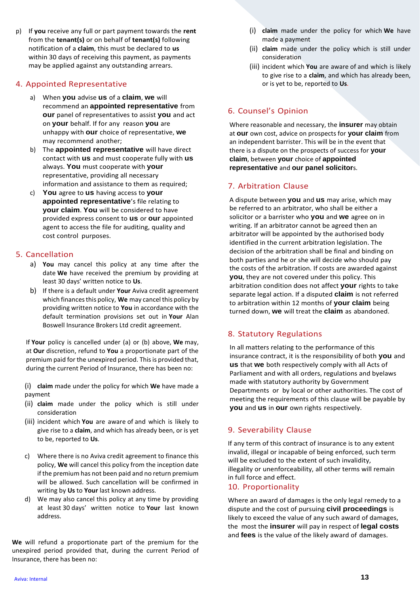p) If **you** receive any full or part payment towards the **rent** from the **tenant(s)** or on behalf of **tenant(s)** following notification of a **claim**, this must be declared to **us** within 30 days of receiving this payment, as payments may be applied against any outstanding arrears.

#### 4. Appointed Representative

- a) When **you** advise **us** of a **claim**, **we** will recommend an **appointed representative** from **our** panel of representatives to assist **you** and act on **your** behalf. If for any reason **you** are unhappy with **our** choice of representative, **we**  may recommend another;
- b) The **appointed representative** will have direct contact with **us** and must cooperate fully with **us**  always. **You** must cooperate with **your**  representative, providing all necessary information and assistance to them as required;
- c) **You** agree to **us** having access to **your appointed representative**'s file relating to **your claim**. **You** will be considered to have provided express consent to **us** or **our** appointed agent to access the file for auditing, quality and cost control purposes.

#### 5. Cancellation

- a) **You** may cancel this policy at any time after the date **We** have received the premium by providing at least 30 days' written notice to **Us**.
- b) If there is a default under **Your** Aviva credit agreement which finances this policy, **We** may cancel this policy by providing written notice to **You** in accordance with the default termination provisions set out in **Your** Alan Boswell Insurance Brokers Ltd credit agreement.

If **Your** policy is cancelled under (a) or (b) above, **We** may, at **Our** discretion, refund to **You** a proportionate part of the premium paid for the unexpired period. This is provided that, during the current Period of Insurance, there has been no:

(i) **claim** made under the policy for which **We** have made a payment

- (ii) **claim** made under the policy which is still under consideration
- (iii) incident which **You** are aware of and which is likely to give rise to a **claim**, and which has already been, or is yet to be, reported to **Us**.
- c) Where there is no Aviva credit agreement to finance this policy, **We** will cancel this policy from the inception date if the premium has not been paid and no return premium will be allowed. Such cancellation will be confirmed in writing by **Us** to **Your** last known address.
- d) We may also cancel this policy at any time by providing at least 30 days' written notice to **Your** last known address.

**We** will refund a proportionate part of the premium for the unexpired period provided that, during the current Period of Insurance, there has been no:

- (i) **claim** made under the policy for which **We** have made a payment
- (ii) **claim** made under the policy which is still under consideration
- (iii) incident which **You** are aware of and which is likely to give rise to a **claim**, and which has already been, or is yet to be, reported to **Us***.*

### 6. Counsel's Opinion

Where reasonable and necessary, the **insurer** may obtain at **our** own cost, advice on prospects for **your claim** from an independent barrister. This will be in the event that there is a dispute on the prospects of success for **your claim**, between **your** choice of **appointed representative** and **our panel solicitor**s.

#### 7. Arbitration Clause

A dispute between **you** and **us** may arise, which may be referred to an arbitrator, who shall be either a solicitor or a barrister who **you** and **we** agree on in writing. If an arbitrator cannot be agreed then an arbitrator will be appointed by the authorised body identified in the current arbitration legislation. The decision of the arbitration shall be final and binding on both parties and he or she will decide who should pay the costs of the arbitration. If costs are awarded against **you**, they are not covered under this policy. This arbitration condition does not affect **your** rights to take separate legal action. If a disputed **claim** is not referred to arbitration within 12 months of **your claim** being turned down, **we** will treat the **claim** as abandoned.

#### 8. Statutory Regulations

In all matters relating to the performance of this insurance contract, it is the responsibility of both **you** and **us** that **we** both respectively comply with all Acts of Parliament and with all orders, regulations and byelaws made with statutory authority by Government Departments or by local or other authorities. The cost of meeting the requirements of this clause will be payable by **you** and **us** in **our** own rights respectively.

#### 9. Severability Clause

If any term of this contract of insurance is to any extent invalid, illegal or incapable of being enforced, such term will be excluded to the extent of such invalidity, illegality or unenforceability, all other terms will remain in full force and effect.

#### 10. Proportionality

Where an award of damages is the only legal remedy to a dispute and the cost of pursuing **civil proceedings** is likely to exceed the value of any such award of damages, the most the **insurer** will pay in respect of **legal costs**  and **fees** is the value of the likely award of damages.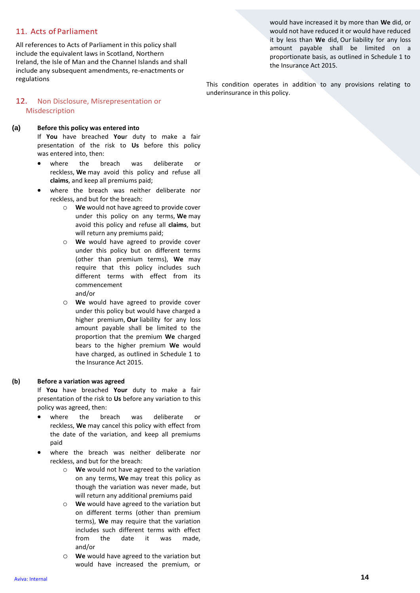#### 11. Acts of Parliament

All references to Acts of Parliament in this policy shall include the equivalent laws in Scotland, Northern Ireland, the Isle of Man and the Channel Islands and shall include any subsequent amendments, re-enactments or regulations

would have increased it by more than **We** did, or would not have reduced it or would have reduced it by less than **We** did, Our liability for any loss amount payable shall be limited on a proportionate basis, as outlined in Schedule 1 to the Insurance Act 2015.

This condition operates in addition to any provisions relating to underinsurance in this policy.

#### 12. Non Disclosure, Misrepresentation or Misdescription

#### **(a) Before this policy was entered into**

If **You** have breached **You**r duty to make a fair presentation of the risk to **Us** before this policy was entered into, then:

- where the breach was deliberate or reckless, **We** may avoid this policy and refuse all **claims**, and keep all premiums paid;
- where the breach was neither deliberate nor reckless, and but for the breach:
	- o **We** would not have agreed to provide cover under this policy on any terms, **We** may avoid this policy and refuse all **claims**, but will return any premiums paid;
	- o **We** would have agreed to provide cover under this policy but on different terms (other than premium terms), **We** may require that this policy includes such different terms with effect from its commencement and/or
	- o **We** would have agreed to provide cover under this policy but would have charged a higher premium, **Our** liability for any loss amount payable shall be limited to the proportion that the premium **We** charged bears to the higher premium **We** would have charged, as outlined in Schedule 1 to the Insurance Act 2015.

#### **(b) Before a variation was agreed**

If **You** have breached **Your** duty to make a fair presentation of the risk to **Us** before any variation to this policy was agreed, then:

- where the breach was deliberate or reckless, **We** may cancel this policy with effect from the date of the variation, and keep all premiums paid
- where the breach was neither deliberate nor reckless, and but for the breach:
	- o **We** would not have agreed to the variation on any terms, **We** may treat this policy as though the variation was never made, but will return any additional premiums paid
	- o **We** would have agreed to the variation but on different terms (other than premium terms), **We** may require that the variation includes such different terms with effect from the date it was made, and/or
	- o **We** would have agreed to the variation but would have increased the premium, or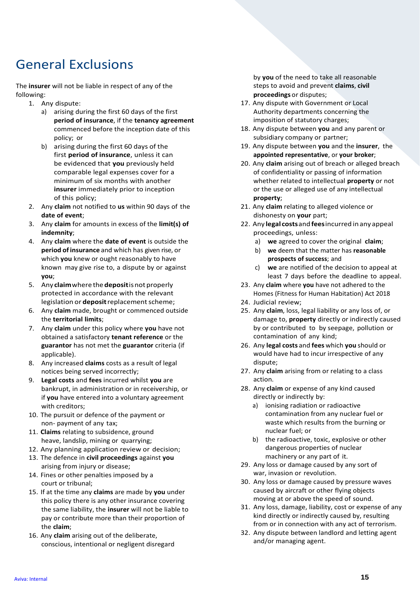## General Exclusions

The **insurer** will not be liable in respect of any of the following:

- 1. Any dispute:
	- a) arising during the first 60 days of the first **period of insurance**, if the **tenancy agreement**  commenced before the inception date of this policy; or
	- b) arising during the first 60 days of the first **period of insurance**, unless it can be evidenced that **you** previously held comparable legal expenses cover for a minimum of six months with another **insurer** immediately prior to inception of this policy;
- 2. Any **claim** not notified to **us** within 90 days of the **date of event**;
- 3. Any **claim** for amounts in excess of the **limit(s) of indemnity**;
- 4. Any **claim** where the **date of event** is outside the **period ofinsurance** and which has given rise, or which **you** knew or ought reasonably to have known may give rise to, a dispute by or against **you**;
- 5. Any **claim** where the **deposit** is not properly protected in accordance with the relevant legislation or **deposit** replacement scheme;
- 6. Any **claim** made, brought or commenced outside the **territorial limits**;
- 7. Any **claim** under this policy where **you** have not obtained a satisfactory **tenant reference** or the **guarantor** has not met the **guarantor** criteria (if applicable).
- 8. Any increased **claims** costs as a result of legal notices being served incorrectly;
- 9. **Legal costs** and **fees** incurred whilst **you** are bankrupt, in administration or in receivership, or if **you** have entered into a voluntary agreement with creditors;
- 10. The pursuit or defence of the payment or non- payment of any tax;
- 11. **Claims** relating to subsidence, ground heave, landslip, mining or quarrying;
- 12. Any planning application review or decision;
- 13. The defence in **civil proceedings** against **you** arising from injury or disease;
- 14. Fines or other penalties imposed by a court or tribunal;
- 15. If at the time any **claims** are made by **you** under this policy there is any other insurance covering the same liability, the **insurer** will not be liable to pay or contribute more than their proportion of the **claim**;
- 16. Any **claim** arising out of the deliberate, conscious, intentional or negligent disregard

by **you** of the need to take all reasonable steps to avoid and prevent **claims**, **civil proceedings** or disputes;

- 17. Any dispute with Government or Local Authority departments concerning the imposition of statutory charges;
- 18. Any dispute between **you** and any parent or subsidiary company or partner;
- 19. Any dispute between **you** and the **insurer**, the **appointed representative**, or **your broker**;
- 20. Any **claim** arising out of breach or alleged breach of confidentiality or passing of information whether related to intellectual **property** or not or the use or alleged use of any intellectual **property**;
- 21. Any **claim** relating to alleged violence or dishonesty on **your** part;
- 22. Any **legal costs**and **fees**incurred inany appeal proceedings, unless:
	- a) **we** agreed to cover the original **claim**;
	- b) **we** deem that the matter has **reasonable prospects of success**; and
	- c) **we** are notified of the decision to appeal at least 7 days before the deadline to appeal.
- 23. Any **claim** where **you** have not adhered to the Homes (Fitness for Human Habitation) Act 2018
- 24. Judicial review;
- 25. Any **claim**, loss, legal liability or any loss of, or damage to, **property** directly or indirectly caused by or contributed to by seepage, pollution or contamination of any kind;
- 26. Any **legal costs** and **fees** which **you** should or would have had to incur irrespective of any dispute;
- 27. Any **claim** arising from or relating to a class action.
- 28. Any **claim** or expense of any kind caused directly or indirectly by:
	- a) ionising radiation or radioactive contamination from any nuclear fuel or waste which results from the burning or nuclear fuel; or
	- b) the radioactive, toxic, explosive or other dangerous properties of nuclear machinery or any part of it.
- 29. Any loss or damage caused by any sort of war, invasion or revolution.
- 30. Any loss or damage caused by pressure waves caused by aircraft or other flying objects moving at or above the speed of sound.
- 31. Any loss, damage, liability, cost or expense of any kind directly or indirectly caused by, resulting from or in connection with any act of terrorism.
- 32. Any dispute between landlord and letting agent and/or managing agent.